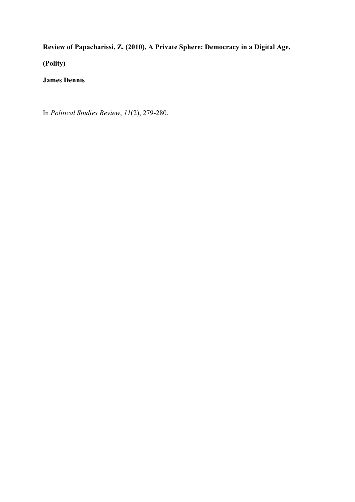**Review of Papacharissi, Z. (2010), A Private Sphere: Democracy in a Digital Age,** 

**(Polity)**

## **James Dennis**

In *Political Studies Review*, *11*(2), 279-280.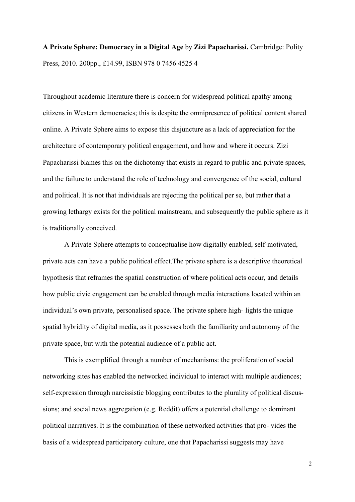## **A Private Sphere: Democracy in a Digital Age** by **Zizi Papacharissi.** Cambridge: Polity Press, 2010. 200pp., £14.99, ISBN 978 0 7456 4525 4

Throughout academic literature there is concern for widespread political apathy among citizens in Western democracies; this is despite the omnipresence of political content shared online. A Private Sphere aims to expose this disjuncture as a lack of appreciation for the architecture of contemporary political engagement, and how and where it occurs. Zizi Papacharissi blames this on the dichotomy that exists in regard to public and private spaces, and the failure to understand the role of technology and convergence of the social, cultural and political. It is not that individuals are rejecting the political per se, but rather that a growing lethargy exists for the political mainstream, and subsequently the public sphere as it is traditionally conceived.

A Private Sphere attempts to conceptualise how digitally enabled, self-motivated, private acts can have a public political effect.The private sphere is a descriptive theoretical hypothesis that reframes the spatial construction of where political acts occur, and details how public civic engagement can be enabled through media interactions located within an individual's own private, personalised space. The private sphere high- lights the unique spatial hybridity of digital media, as it possesses both the familiarity and autonomy of the private space, but with the potential audience of a public act.

This is exemplified through a number of mechanisms: the proliferation of social networking sites has enabled the networked individual to interact with multiple audiences; self-expression through narcissistic blogging contributes to the plurality of political discussions; and social news aggregation (e.g. Reddit) offers a potential challenge to dominant political narratives. It is the combination of these networked activities that pro- vides the basis of a widespread participatory culture, one that Papacharissi suggests may have

2